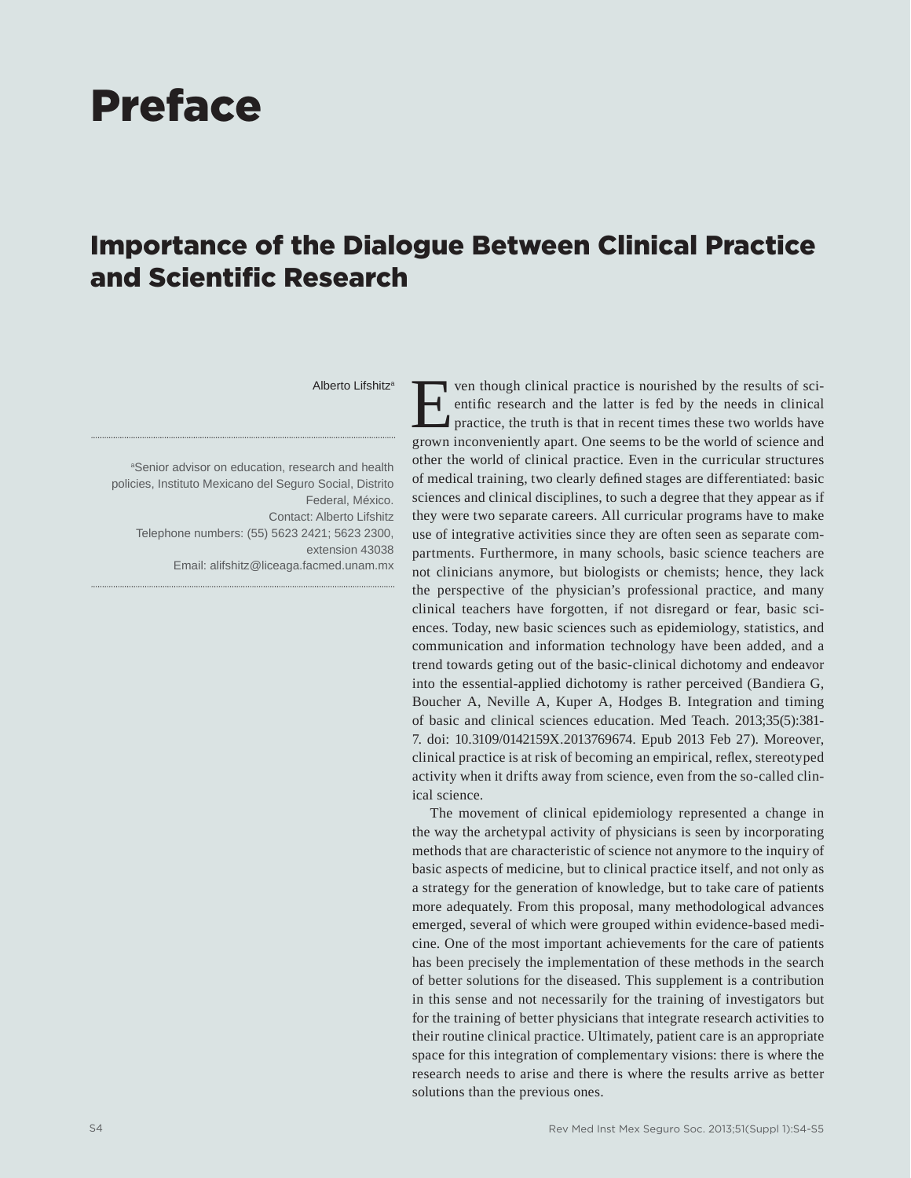## Preface

## Importance of the Dialogue Between Clinical Practice and Scientific Research

## Alberto Lifshitza

<sup>a</sup>Senior advisor on education, research and health policies, Instituto Mexicano del Seguro Social, Distrito Federal, México. Contact: Alberto Lifshitz Telephone numbers: (55) 5623 2421; 5623 2300, extension 43038 Email: alifshitz@liceaga.facmed.unam.mx

For though clinical practice is nourished by the results of scientific research and the latter is fed by the needs in clinical practice, the truth is that in recent times these two worlds have entific research and the latter is fed by the needs in clinical grown inconveniently apart. One seems to be the world of science and other the world of clinical practice. Even in the curricular structures of medical training, two clearly defined stages are differentiated: basic sciences and clinical disciplines, to such a degree that they appear as if they were two separate careers. All curricular programs have to make use of integrative activities since they are often seen as separate compartments. Furthermore, in many schools, basic science teachers are not clinicians anymore, but biologists or chemists; hence, they lack the perspective of the physician's professional practice, and many clinical teachers have forgotten, if not disregard or fear, basic sciences. Today, new basic sciences such as epidemiology, statistics, and communication and information technology have been added, and a trend towards geting out of the basic-clinical dichotomy and endeavor into the essential-applied dichotomy is rather perceived (Bandiera G, Boucher A, Neville A, Kuper A, Hodges B. Integration and timing of basic and clinical sciences education. Med Teach. 2013;35(5):381- 7. doi: 10.3109/0142159X.2013769674. Epub 2013 Feb 27). Moreover, clinical practice is at risk of becoming an empirical, reflex, stereotyped activity when it drifts away from science, even from the so-called clinical science.

The movement of clinical epidemiology represented a change in the way the archetypal activity of physicians is seen by incorporating methods that are characteristic of science not anymore to the inquiry of basic aspects of medicine, but to clinical practice itself, and not only as a strategy for the generation of knowledge, but to take care of patients more adequately. From this proposal, many methodological advances emerged, several of which were grouped within evidence-based medicine. One of the most important achievements for the care of patients has been precisely the implementation of these methods in the search of better solutions for the diseased. This supplement is a contribution in this sense and not necessarily for the training of investigators but for the training of better physicians that integrate research activities to their routine clinical practice. Ultimately, patient care is an appropriate space for this integration of complementary visions: there is where the research needs to arise and there is where the results arrive as better solutions than the previous ones.